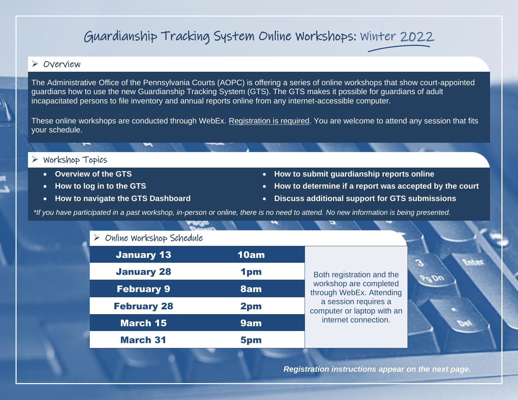## Guardianship Tracking System Online Workshops: Winter 2022

## ➢ Overview

The Administrative Office of the Pennsylvania Courts (AOPC) is offering a series of online workshops that show court-appointed guardians how to use the new Guardianship Tracking System (GTS). The GTS makes it possible for guardians of adult incapacitated persons to file inventory and annual reports online from any internet-accessible computer.

These online workshops are conducted through WebEx. Registration is required. You are welcome to attend any session that fits your schedule.

## ➢ Workshop Topics

- 
- 
- 
- **Overview of the GTS How to submit guardianship reports online**
- **How to log in to the GTS How to determine if a report was accepted by the court**
- **How to navigate the GTS Dashboard Discuss additional support for GTS submissions**

*\*If you have participated in a past workshop, in-person or online, there is no need to attend. No new information is being presented.*

|  | $\triangleright$ Online Workshop Schedule |  |
|--|-------------------------------------------|--|
|  |                                           |  |

| <b>January 13</b>  | 10am |                |
|--------------------|------|----------------|
| <b>January 28</b>  | 1pm  | <b>Both</b>    |
| <b>February 9</b>  | 8am  | work<br>throug |
| <b>February 28</b> | 2pm  | a s<br>comp    |
| <b>March 15</b>    | 9am  | int            |
| <b>March 31</b>    | 5pm  |                |

registration and the shop are completed gh WebEx. Attending session requires a uter or laptop with an ternet connection.



 *Registration instructions appear on the next page.*